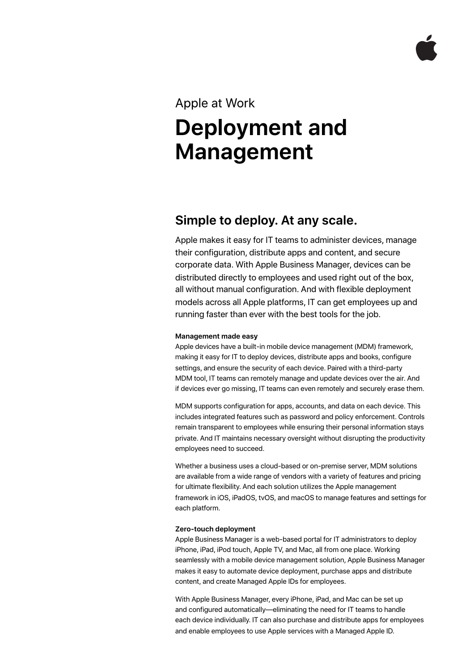# Apple at Work **Deployment and Management**

# **Simple to deploy. At any scale.**

Apple makes it easy for IT teams to administer devices, manage their configuration, distribute apps and content, and secure corporate data. With Apple Business Manager, devices can be distributed directly to employees and used right out of the box, all without manual configuration. And with flexible deployment models across all Apple platforms, IT can get employees up and running faster than ever with the best tools for the job.

## **Management made easy**

Apple devices have a built-in mobile device management (MDM) framework, making it easy for IT to deploy devices, distribute apps and books, configure settings, and ensure the security of each device. Paired with a third-party MDM tool, IT teams can remotely manage and update devices over the air. And if devices ever go missing, IT teams can even remotely and securely erase them.

MDM supports configuration for apps, accounts, and data on each device. This includes integrated features such as password and policy enforcement. Controls remain transparent to employees while ensuring their personal information stays private. And IT maintains necessary oversight without disrupting the productivity employees need to succeed.

Whether a business uses a cloud-based or on-premise server, MDM solutions are available from a wide range of vendors with a variety of features and pricing for ultimate flexibility. And each solution utilizes the Apple management framework in iOS, iPadOS, tvOS, and macOS to manage features and settings for each platform.

### **Zero-touch deployment**

Apple Business Manager is a web-based portal for IT administrators to deploy iPhone, iPad, iPod touch, Apple TV, and Mac, all from one place. Working seamlessly with a mobile device management solution, Apple Business Manager makes it easy to automate device deployment, purchase apps and distribute content, and create Managed Apple IDs for employees.

With Apple Business Manager, every iPhone, iPad, and Mac can be set up and configured automatically—eliminating the need for IT teams to handle each device individually. IT can also purchase and distribute apps for employees and enable employees to use Apple services with a Managed Apple ID.